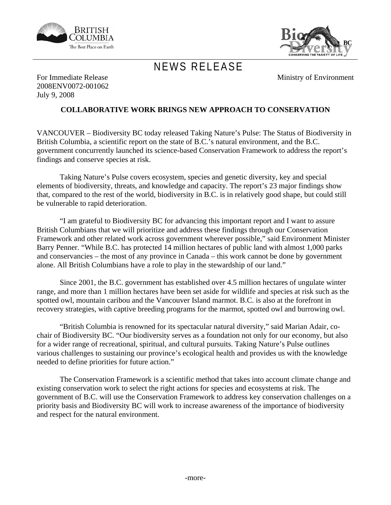



## NEWS RELEASE

Ministry of Environment

For Immediate Release 2008ENV0072-001062 July 9, 2008

## **COLLABORATIVE WORK BRINGS NEW APPROACH TO CONSERVATION**

VANCOUVER – Biodiversity BC today released Taking Nature's Pulse: The Status of Biodiversity in British Columbia, a scientific report on the state of B.C.'s natural environment, and the B.C. government concurrently launched its science-based Conservation Framework to address the report's findings and conserve species at risk.

 Taking Nature's Pulse covers ecosystem, species and genetic diversity, key and special elements of biodiversity, threats, and knowledge and capacity. The report's 23 major findings show that, compared to the rest of the world, biodiversity in B.C. is in relatively good shape, but could still be vulnerable to rapid deterioration.

 "I am grateful to Biodiversity BC for advancing this important report and I want to assure British Columbians that we will prioritize and address these findings through our Conservation Framework and other related work across government wherever possible," said Environment Minister Barry Penner. "While B.C. has protected 14 million hectares of public land with almost 1,000 parks and conservancies – the most of any province in Canada – this work cannot be done by government alone. All British Columbians have a role to play in the stewardship of our land."

 Since 2001, the B.C. government has established over 4.5 million hectares of ungulate winter range, and more than 1 million hectares have been set aside for wildlife and species at risk such as the spotted owl, mountain caribou and the Vancouver Island marmot. B.C. is also at the forefront in recovery strategies, with captive breeding programs for the marmot, spotted owl and burrowing owl.

 "British Columbia is renowned for its spectacular natural diversity," said Marian Adair, cochair of Biodiversity BC. "Our biodiversity serves as a foundation not only for our economy, but also for a wider range of recreational, spiritual, and cultural pursuits. Taking Nature's Pulse outlines various challenges to sustaining our province's ecological health and provides us with the knowledge needed to define priorities for future action."

 The Conservation Framework is a scientific method that takes into account climate change and existing conservation work to select the right actions for species and ecosystems at risk. The government of B.C. will use the Conservation Framework to address key conservation challenges on a priority basis and Biodiversity BC will work to increase awareness of the importance of biodiversity and respect for the natural environment.